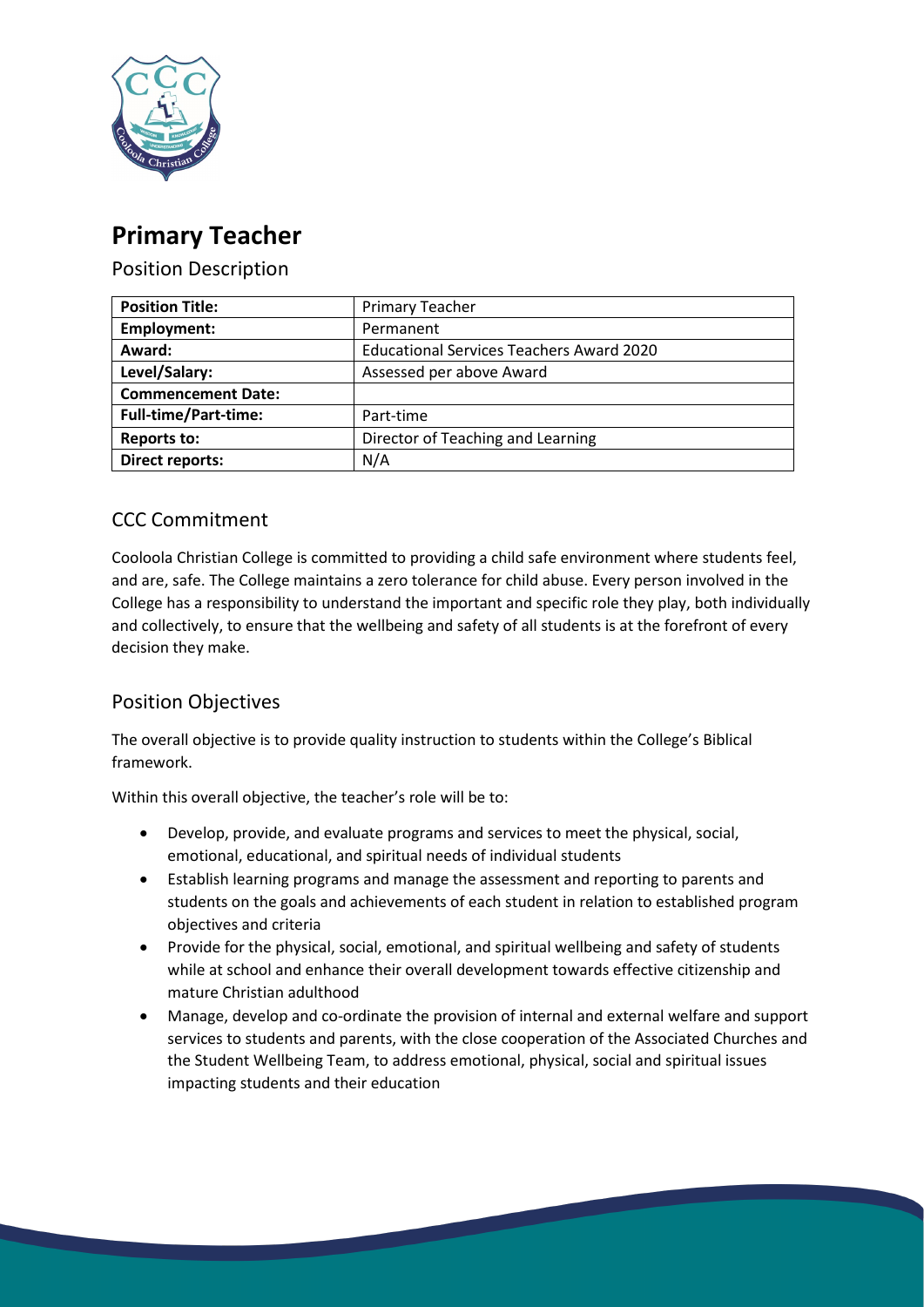

# **Primary Teacher**

Position Description

| <b>Position Title:</b>      | <b>Primary Teacher</b>                          |
|-----------------------------|-------------------------------------------------|
| Employment:                 | Permanent                                       |
| Award:                      | <b>Educational Services Teachers Award 2020</b> |
| Level/Salary:               | Assessed per above Award                        |
| <b>Commencement Date:</b>   |                                                 |
| <b>Full-time/Part-time:</b> | Part-time                                       |
| <b>Reports to:</b>          | Director of Teaching and Learning               |
| Direct reports:             | N/A                                             |

# CCC Commitment

Cooloola Christian College is committed to providing a child safe environment where students feel, and are, safe. The College maintains a zero tolerance for child abuse. Every person involved in the College has a responsibility to understand the important and specific role they play, both individually and collectively, to ensure that the wellbeing and safety of all students is at the forefront of every decision they make.

# Position Objectives

The overall objective is to provide quality instruction to students within the College's Biblical framework.

Within this overall objective, the teacher's role will be to:

- Develop, provide, and evaluate programs and services to meet the physical, social, emotional, educational, and spiritual needs of individual students
- Establish learning programs and manage the assessment and reporting to parents and students on the goals and achievements of each student in relation to established program objectives and criteria
- Provide for the physical, social, emotional, and spiritual wellbeing and safety of students while at school and enhance their overall development towards effective citizenship and mature Christian adulthood
- Manage, develop and co-ordinate the provision of internal and external welfare and support services to students and parents, with the close cooperation of the Associated Churches and the Student Wellbeing Team, to address emotional, physical, social and spiritual issues impacting students and their education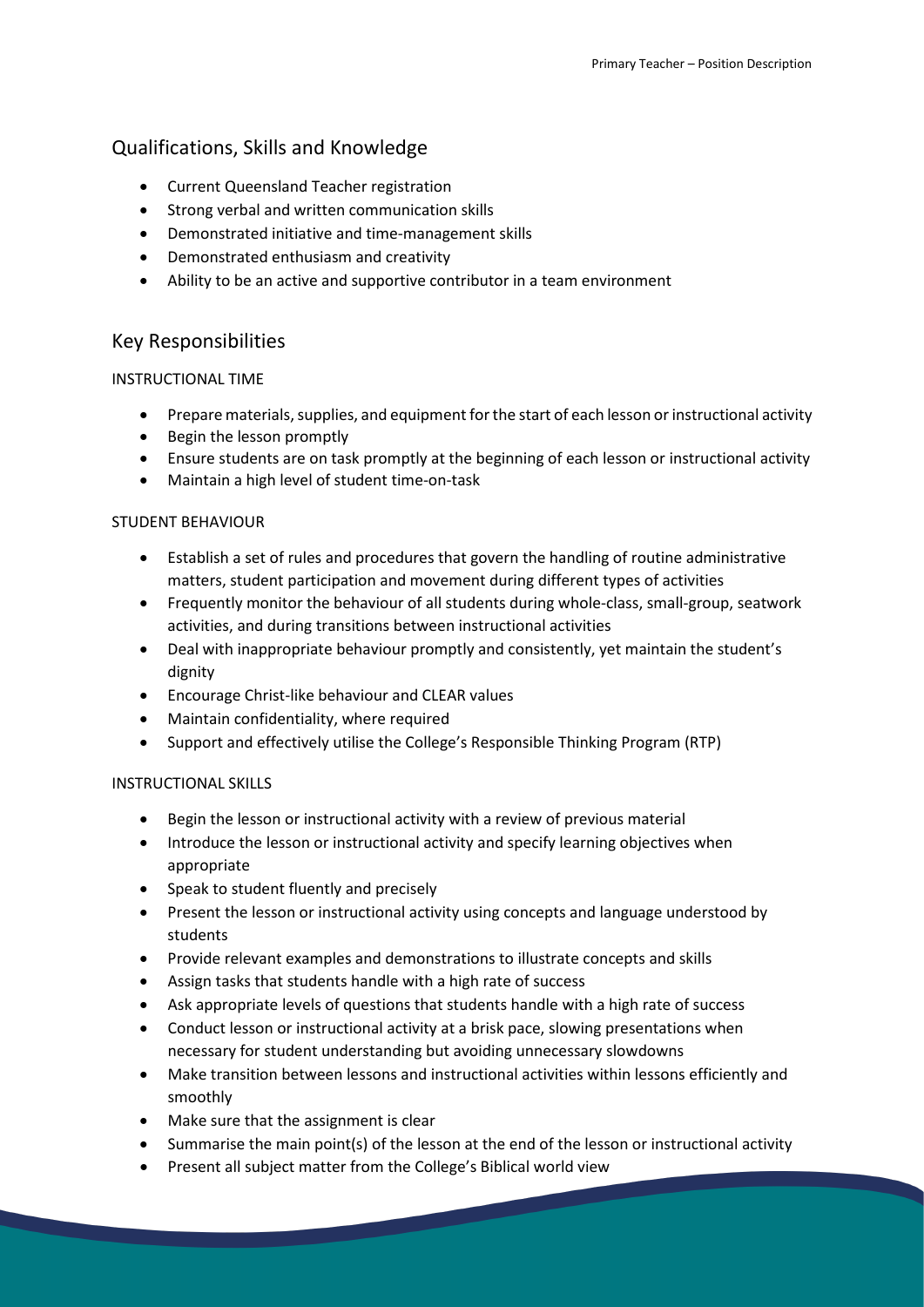# Qualifications, Skills and Knowledge

- Current Queensland Teacher registration
- Strong verbal and written communication skills
- Demonstrated initiative and time-management skills
- Demonstrated enthusiasm and creativity
- Ability to be an active and supportive contributor in a team environment

### Key Responsibilities

#### INSTRUCTIONAL TIME

- Prepare materials, supplies, and equipment for the start of each lesson or instructional activity
- Begin the lesson promptly
- Ensure students are on task promptly at the beginning of each lesson or instructional activity
- Maintain a high level of student time-on-task

#### STUDENT BEHAVIOUR

- Establish a set of rules and procedures that govern the handling of routine administrative matters, student participation and movement during different types of activities
- Frequently monitor the behaviour of all students during whole-class, small-group, seatwork activities, and during transitions between instructional activities
- Deal with inappropriate behaviour promptly and consistently, yet maintain the student's dignity
- Encourage Christ-like behaviour and CLEAR values
- Maintain confidentiality, where required
- Support and effectively utilise the College's Responsible Thinking Program (RTP)

#### INSTRUCTIONAL SKILLS

- Begin the lesson or instructional activity with a review of previous material
- Introduce the lesson or instructional activity and specify learning objectives when appropriate
- Speak to student fluently and precisely
- Present the lesson or instructional activity using concepts and language understood by students
- Provide relevant examples and demonstrations to illustrate concepts and skills
- Assign tasks that students handle with a high rate of success
- Ask appropriate levels of questions that students handle with a high rate of success
- Conduct lesson or instructional activity at a brisk pace, slowing presentations when necessary for student understanding but avoiding unnecessary slowdowns
- Make transition between lessons and instructional activities within lessons efficiently and smoothly
- Make sure that the assignment is clear
- Summarise the main point(s) of the lesson at the end of the lesson or instructional activity
- Present all subject matter from the College's Biblical world view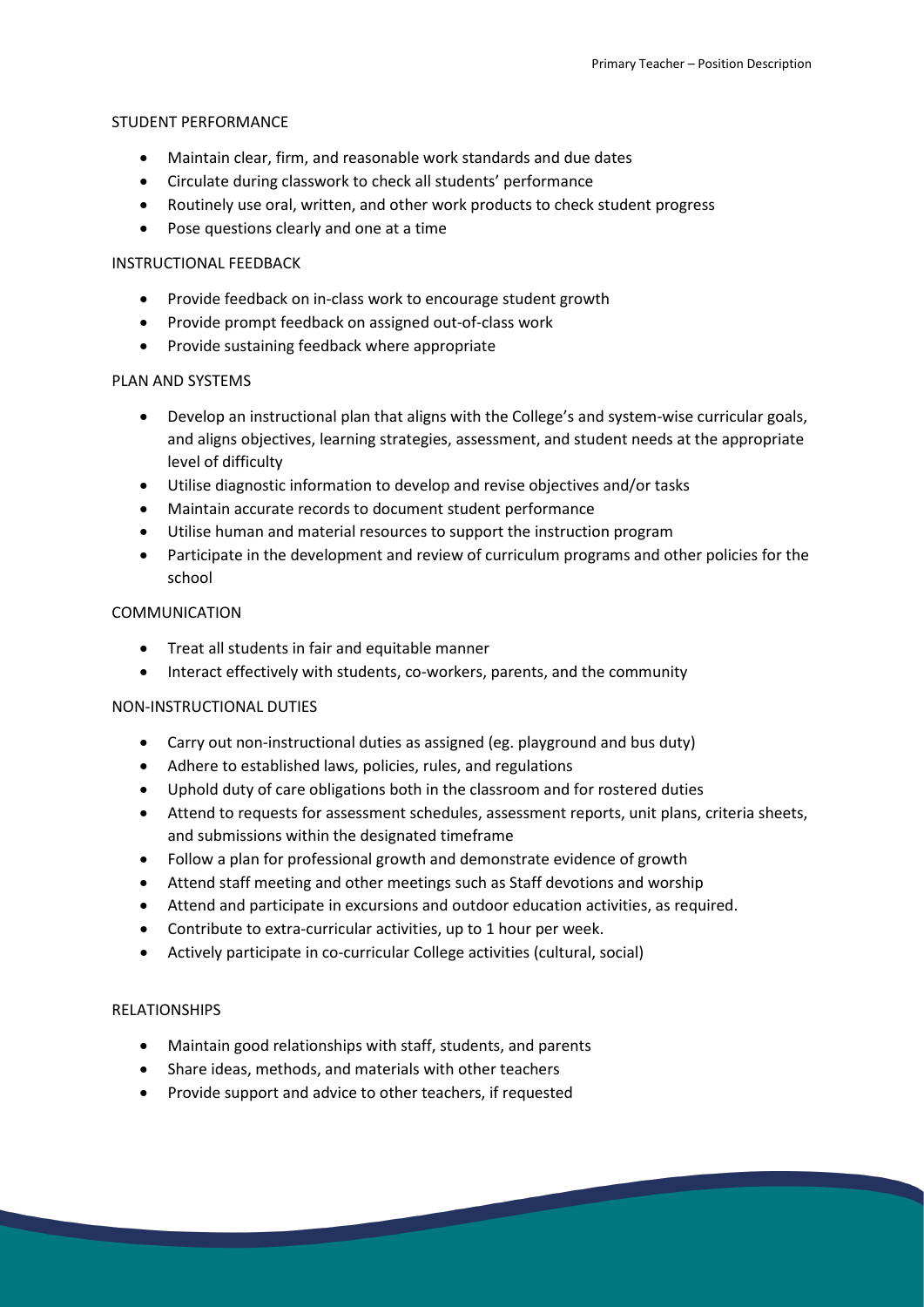#### STUDENT PERFORMANCE

- Maintain clear, firm, and reasonable work standards and due dates
- Circulate during classwork to check all students' performance
- Routinely use oral, written, and other work products to check student progress
- Pose questions clearly and one at a time

#### INSTRUCTIONAL FEEDBACK

- Provide feedback on in-class work to encourage student growth
- Provide prompt feedback on assigned out-of-class work
- Provide sustaining feedback where appropriate

#### PLAN AND SYSTEMS

- Develop an instructional plan that aligns with the College's and system-wise curricular goals, and aligns objectives, learning strategies, assessment, and student needs at the appropriate level of difficulty
- Utilise diagnostic information to develop and revise objectives and/or tasks
- Maintain accurate records to document student performance
- Utilise human and material resources to support the instruction program
- Participate in the development and review of curriculum programs and other policies for the school

#### COMMUNICATION

- Treat all students in fair and equitable manner
- Interact effectively with students, co-workers, parents, and the community

#### NON-INSTRUCTIONAL DUTIES

- Carry out non-instructional duties as assigned (eg. playground and bus duty)
- Adhere to established laws, policies, rules, and regulations
- Uphold duty of care obligations both in the classroom and for rostered duties
- Attend to requests for assessment schedules, assessment reports, unit plans, criteria sheets, and submissions within the designated timeframe
- Follow a plan for professional growth and demonstrate evidence of growth
- Attend staff meeting and other meetings such as Staff devotions and worship
- Attend and participate in excursions and outdoor education activities, as required.
- Contribute to extra-curricular activities, up to 1 hour per week.
- Actively participate in co-curricular College activities (cultural, social)

#### RELATIONSHIPS

- Maintain good relationships with staff, students, and parents
- Share ideas, methods, and materials with other teachers
- Provide support and advice to other teachers, if requested